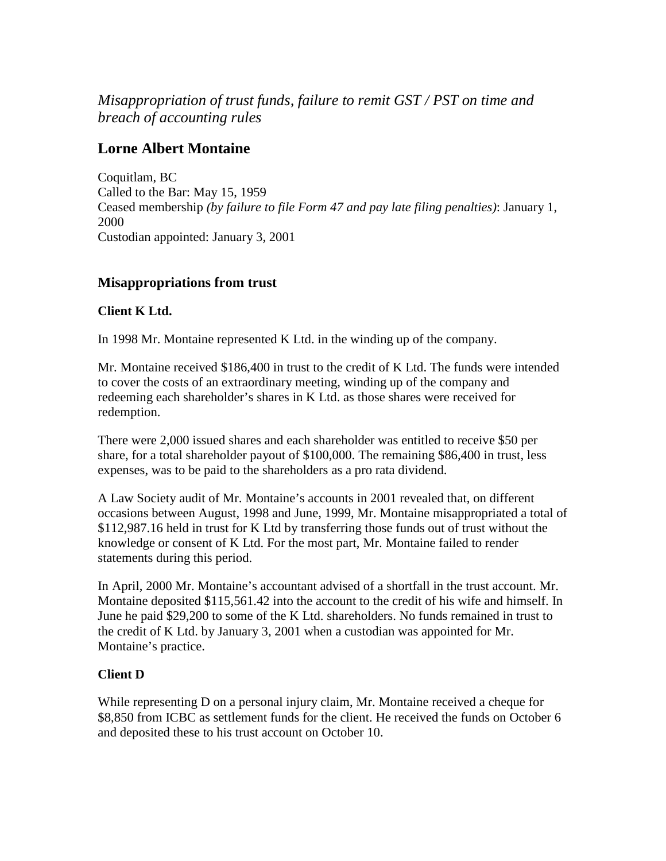*Misappropriation of trust funds, failure to remit GST / PST on time and breach of accounting rules*

# **Lorne Albert Montaine**

Coquitlam, BC Called to the Bar: May 15, 1959 Ceased membership *(by failure to file Form 47 and pay late filing penalties)*: January 1, 2000 Custodian appointed: January 3, 2001

## **Misappropriations from trust**

#### **Client K Ltd.**

In 1998 Mr. Montaine represented K Ltd. in the winding up of the company.

Mr. Montaine received \$186,400 in trust to the credit of K Ltd. The funds were intended to cover the costs of an extraordinary meeting, winding up of the company and redeeming each shareholder's shares in K Ltd. as those shares were received for redemption.

There were 2,000 issued shares and each shareholder was entitled to receive \$50 per share, for a total shareholder payout of \$100,000. The remaining \$86,400 in trust, less expenses, was to be paid to the shareholders as a pro rata dividend.

A Law Society audit of Mr. Montaine's accounts in 2001 revealed that, on different occasions between August, 1998 and June, 1999, Mr. Montaine misappropriated a total of \$112,987.16 held in trust for K Ltd by transferring those funds out of trust without the knowledge or consent of K Ltd. For the most part, Mr. Montaine failed to render statements during this period.

In April, 2000 Mr. Montaine's accountant advised of a shortfall in the trust account. Mr. Montaine deposited \$115,561.42 into the account to the credit of his wife and himself. In June he paid \$29,200 to some of the K Ltd. shareholders. No funds remained in trust to the credit of K Ltd. by January 3, 2001 when a custodian was appointed for Mr. Montaine's practice.

## **Client D**

While representing D on a personal injury claim, Mr. Montaine received a cheque for \$8,850 from ICBC as settlement funds for the client. He received the funds on October 6 and deposited these to his trust account on October 10.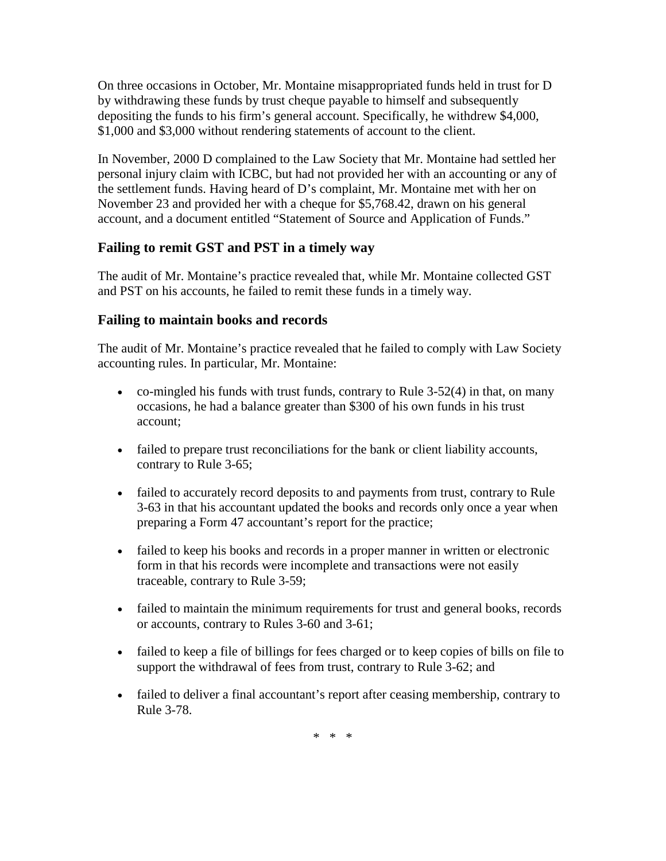On three occasions in October, Mr. Montaine misappropriated funds held in trust for D by withdrawing these funds by trust cheque payable to himself and subsequently depositing the funds to his firm's general account. Specifically, he withdrew \$4,000, \$1,000 and \$3,000 without rendering statements of account to the client.

In November, 2000 D complained to the Law Society that Mr. Montaine had settled her personal injury claim with ICBC, but had not provided her with an accounting or any of the settlement funds. Having heard of D's complaint, Mr. Montaine met with her on November 23 and provided her with a cheque for \$5,768.42, drawn on his general account, and a document entitled "Statement of Source and Application of Funds."

## **Failing to remit GST and PST in a timely way**

The audit of Mr. Montaine's practice revealed that, while Mr. Montaine collected GST and PST on his accounts, he failed to remit these funds in a timely way.

#### **Failing to maintain books and records**

The audit of Mr. Montaine's practice revealed that he failed to comply with Law Society accounting rules. In particular, Mr. Montaine:

- co-mingled his funds with trust funds, contrary to Rule  $3-52(4)$  in that, on many occasions, he had a balance greater than \$300 of his own funds in his trust account;
- failed to prepare trust reconciliations for the bank or client liability accounts, contrary to Rule 3-65;
- failed to accurately record deposits to and payments from trust, contrary to Rule 3-63 in that his accountant updated the books and records only once a year when preparing a Form 47 accountant's report for the practice;
- failed to keep his books and records in a proper manner in written or electronic form in that his records were incomplete and transactions were not easily traceable, contrary to Rule 3-59;
- failed to maintain the minimum requirements for trust and general books, records or accounts, contrary to Rules 3-60 and 3-61;
- failed to keep a file of billings for fees charged or to keep copies of bills on file to support the withdrawal of fees from trust, contrary to Rule 3-62; and
- failed to deliver a final accountant's report after ceasing membership, contrary to Rule 3-78.

\* \* \*